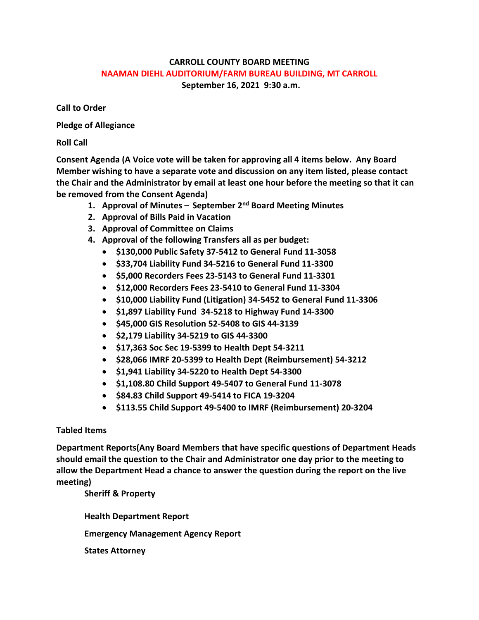## **CARROLL COUNTY BOARD MEETING NAAMAN DIEHL AUDITORIUM/FARM BUREAU BUILDING, MT CARROLL September 16, 2021 9:30 a.m.**

**Call to Order**

**Pledge of Allegiance**

**Roll Call**

**Consent Agenda (A Voice vote will be taken for approving all 4 items below. Any Board Member wishing to have a separate vote and discussion on any item listed, please contact the Chair and the Administrator by email at least one hour before the meeting so that it can be removed from the Consent Agenda)**

- **1. Approval of Minutes – September 2nd Board Meeting Minutes**
- **2. Approval of Bills Paid in Vacation**
- **3. Approval of Committee on Claims**
- **4. Approval of the following Transfers all as per budget:**
	- **\$130,000 Public Safety 37-5412 to General Fund 11-3058**
	- **\$33,704 Liability Fund 34-5216 to General Fund 11-3300**
	- **\$5,000 Recorders Fees 23-5143 to General Fund 11-3301**
	- **\$12,000 Recorders Fees 23-5410 to General Fund 11-3304**
	- **\$10,000 Liability Fund (Litigation) 34-5452 to General Fund 11-3306**
	- **\$1,897 Liability Fund 34-5218 to Highway Fund 14-3300**
	- **\$45,000 GIS Resolution 52-5408 to GIS 44-3139**
	- **\$2,179 Liability 34-5219 to GIS 44-3300**
	- **\$17,363 Soc Sec 19-5399 to Health Dept 54-3211**
	- **\$28,066 IMRF 20-5399 to Health Dept (Reimbursement) 54-3212**
	- **\$1,941 Liability 34-5220 to Health Dept 54-3300**
	- **\$1,108.80 Child Support 49-5407 to General Fund 11-3078**
	- **\$84.83 Child Support 49-5414 to FICA 19-3204**
	- **\$113.55 Child Support 49-5400 to IMRF (Reimbursement) 20-3204**

## **Tabled Items**

**Department Reports(Any Board Members that have specific questions of Department Heads should email the question to the Chair and Administrator one day prior to the meeting to allow the Department Head a chance to answer the question during the report on the live meeting)**

**Sheriff & Property**

**Health Department Report Emergency Management Agency Report States Attorney**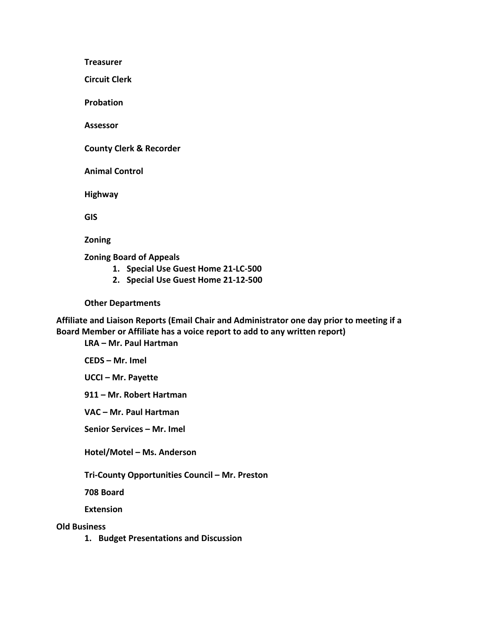**Treasurer**

**Circuit Clerk**

**Probation**

**Assessor**

**County Clerk & Recorder**

**Animal Control**

**Highway**

**GIS**

**Zoning**

**Zoning Board of Appeals**

- **1. Special Use Guest Home 21-LC-500**
- **2. Special Use Guest Home 21-12-500**

**Other Departments**

**Affiliate and Liaison Reports (Email Chair and Administrator one day prior to meeting if a Board Member or Affiliate has a voice report to add to any written report)**

**LRA – Mr. Paul Hartman**

**CEDS – Mr. Imel**

**UCCI – Mr. Payette**

**911 – Mr. Robert Hartman**

**VAC – Mr. Paul Hartman**

**Senior Services – Mr. Imel**

**Hotel/Motel – Ms. Anderson**

**Tri-County Opportunities Council – Mr. Preston**

**708 Board**

**Extension**

**Old Business**

**1. Budget Presentations and Discussion**